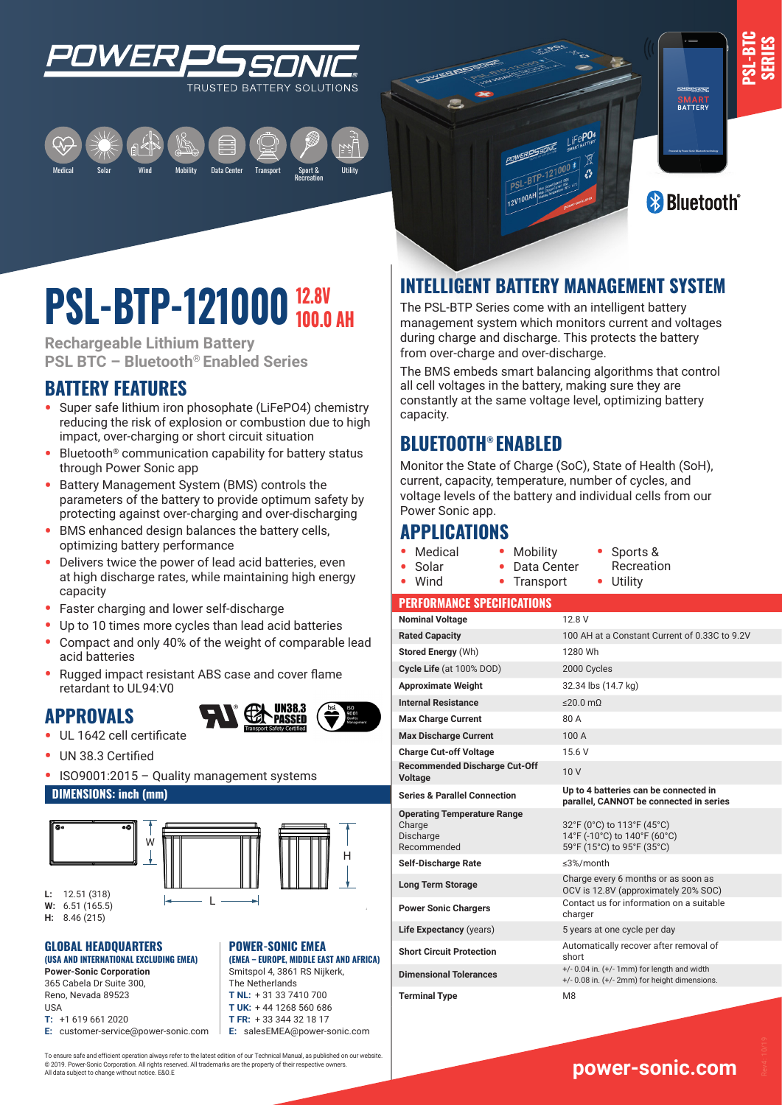

Medical Mobility Data Center Transport Sport & Recreation Solar Utility Wind



SMART<br>BATTERY

**PSL-BTC SERIES**

# **12.8V PSL-BIP-121000** 100.0 AH

**Rechargeable Lithium Battery PSL BTC – Bluetooth® Enabled Series**

## **BATTERY FEATURES**

- **•** Super safe lithium iron phosophate (LiFePO4) chemistry reducing the risk of explosion or combustion due to high impact, over-charging or short circuit situation
- **•** Bluetooth® communication capability for battery status through Power Sonic app
- **•** Battery Management System (BMS) controls the parameters of the battery to provide optimum safety by protecting against over-charging and over-discharging
- **•** BMS enhanced design balances the battery cells, optimizing battery performance
- **•** Delivers twice the power of lead acid batteries, even at high discharge rates, while maintaining high energy capacity
- **•** Faster charging and lower self-discharge
- **•** Up to 10 times more cycles than lead acid batteries
- **•** Compact and only 40% of the weight of comparable lead acid batteries
- **•** Rugged impact resistant ABS case and cover flame retardant to UL94:V0

## **APPROVALS**



- **•** UL 1642 cell certificate
- **•** UN 38.3 Certified
- **•** ISO9001:2015 Quality management systems

W

L

#### **DIMENSIONS: inch (mm)**





**POWER-SONIC EMEA** 

**(EMEA – EUROPE, MIDDLE EAST AND AFRICA)** Smitspol 4, 3861 RS Nijkerk, The Netherlands

**W:** 6.51 (165.5)

**H:** 8.46 (215)

#### **GLOBAL HEADQUARTERS (USA AND INTERNATIONAL EXCLUDING EMEA)**

L 365 Cabela Dr Suite 300, **Power-Sonic Corporation** Reno, Nevada 89523 USA **T:** +1 619 661 2020

**E:** customer-service@power-sonic.com

**T NL:** + 31 33 7410 700 **T UK:** + 44 1268 560 686 **T FR:** + 33 344 32 18 17 **E:** salesEMEA@power-sonic.com

To ensure safe and efficient operation always refer to the latest edition of our Technical Manual, as published on our website. © 2019. Power-Sonic Corporation. All rights reserved. All trademarks are the property of their respective owners. All data subject to change without notice. E&O.E

## **INTELLIGENT BATTERY MANAGEMENT SYSTEM**

 $2V100A<sup>k</sup>$ 

LIFe**PO4** 

The PSL-BTP Series come with an intelligent battery management system which monitors current and voltages during charge and discharge. This protects the battery from over-charge and over-discharge.

The BMS embeds smart balancing algorithms that control all cell voltages in the battery, making sure they are constantly at the same voltage level, optimizing battery capacity.

## **BLUETOOTH® ENABLED**

Monitor the State of Charge (SoC), State of Health (SoH), current, capacity, temperature, number of cycles, and voltage levels of the battery and individual cells from our Power Sonic app.

## **APPLICATIONS**

 $\overline{\phantom{a}}$ 

**•** Medical

H

- **•** Mobility **•** Data Center **•** Sports & Recreation
- **•** Solar **•** Wind **•** Transport
- **•** Utility

#### **PERFORMANCE SPECIFICATIONS**

| <b>Nominal Voltage</b>                                                   | 12.8 V                                                                                            |
|--------------------------------------------------------------------------|---------------------------------------------------------------------------------------------------|
| <b>Rated Capacity</b>                                                    | 100 AH at a Constant Current of 0.33C to 9.2V                                                     |
| Stored Energy (Wh)                                                       | 1280 Wh                                                                                           |
| Cycle Life (at 100% DOD)                                                 | 2000 Cycles                                                                                       |
| <b>Approximate Weight</b>                                                | 32.34 lbs (14.7 kg)                                                                               |
| <b>Internal Resistance</b>                                               | $\leq$ 20.0 mQ                                                                                    |
| <b>Max Charge Current</b>                                                | 80 A                                                                                              |
| <b>Max Discharge Current</b>                                             | 100A                                                                                              |
| <b>Charge Cut-off Voltage</b>                                            | 15.6 V                                                                                            |
| <b>Recommended Discharge Cut-Off</b><br><b>Voltage</b>                   | 10V                                                                                               |
| <b>Series &amp; Parallel Connection</b>                                  | Up to 4 batteries can be connected in<br>parallel, CANNOT be connected in series                  |
| <b>Operating Temperature Range</b><br>Charge<br>Discharge<br>Recommended | 32°F (0°C) to 113°F (45°C)<br>14°F (-10°C) to 140°F (60°C)<br>59°F (15°C) to 95°F (35°C)          |
| <b>Self-Discharge Rate</b>                                               | ≤3%/month                                                                                         |
| <b>Long Term Storage</b>                                                 | Charge every 6 months or as soon as<br>OCV is 12.8V (approximately 20% SOC)                       |
| <b>Power Sonic Chargers</b>                                              | Contact us for information on a suitable<br>charger                                               |
| Life Expectancy (years)                                                  | 5 years at one cycle per day                                                                      |
| <b>Short Circuit Protection</b>                                          | Automatically recover after removal of<br>short                                                   |
| <b>Dimensional Tolerances</b>                                            | $+/- 0.04$ in. $(+/- 1$ mm) for length and width<br>+/- 0.08 in. (+/- 2mm) for height dimensions. |
| <b>Terminal Type</b>                                                     | M <sub>8</sub>                                                                                    |

**www.power-sonic.com**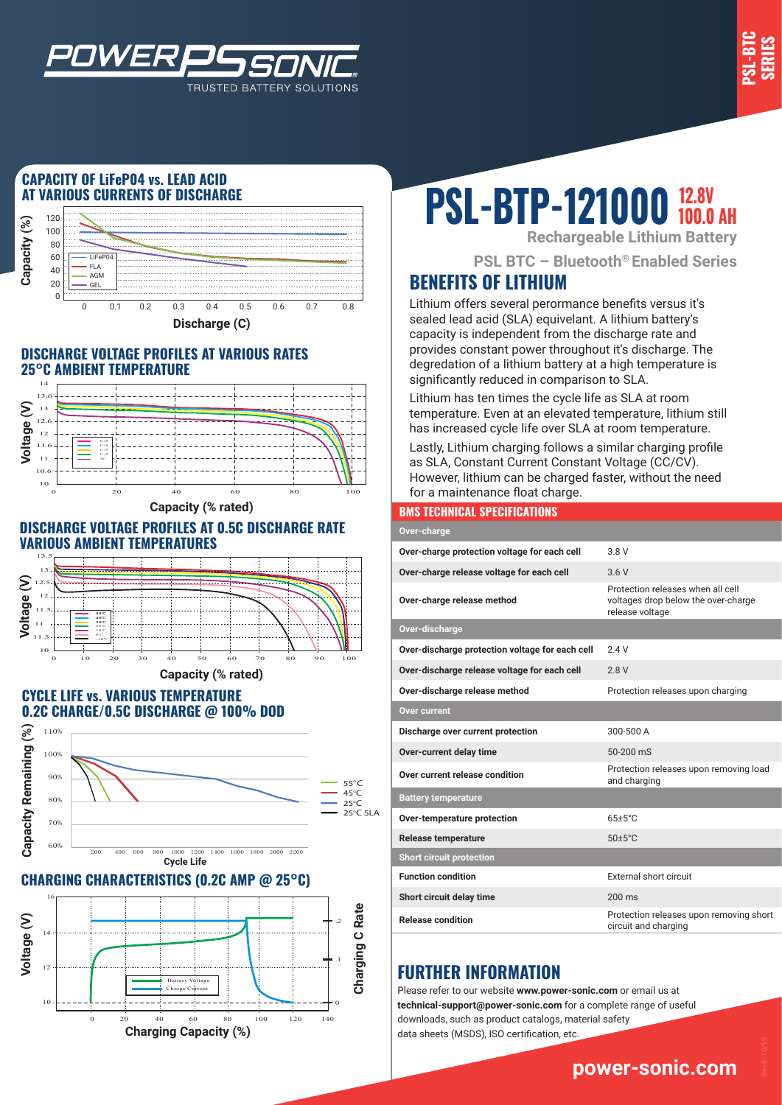

### **CAPACITY OF LiFeP04 vs. LEAD ACID AT VARIOUS CURRENTS OF DISCHARGE**

*WER* 



TRUSTED BATTERY SOLUTIONS

#### **DISCHARGE VOLTAGE PROFILES AT VARIOUS RATES 25°C AMBIENT TEMPERATURE**



**Capacity (% rated)**

#### **DISCHARGE VOLTAGE PROFILES AT 0.5C DISCHARGE RATE VARIOUS AMBIENT TEMPERATURES**



#### **CYCLE LIFE vs. VARIOUS TEMPERATURE 0.2C CHARGE/0.5C DISCHARGE @ 100% DOD**



#### **CHARGING CHARACTERISTICS (0.2C AMP @ 25°C)**



# **PSL-BTP-121000 100.0 AH**

**Rechargeable Lithium Battery**

**PSL BTC – Bluetooth® Enabled Series**

## **BENEFITS OF LITHIUM**

Lithium offers several perormance benefits versus it's sealed lead acid (SLA) equivelant. A lithium battery's capacity is independent from the discharge rate and provides constant power throughout it's discharge. The degredation of a lithium battery at a high temperature is significantly reduced in comparison to SLA.

Lithium has ten times the cycle life as SLA at room temperature. Even at an elevated temperature, lithium still has increased cycle life over SLA at room temperature.

Lastly, Lithium charging follows a similar charging profile as SLA, Constant Current Constant Voltage (CC/CV). However, lithium can be charged faster, without the need for a maintenance float charge.

#### **BMS TECHNICAL SPECIFICATIONS**

| Over-charge                                     |                                                                                             |  |
|-------------------------------------------------|---------------------------------------------------------------------------------------------|--|
| Over-charge protection voltage for each cell    | 3 8 V                                                                                       |  |
| Over-charge release voltage for each cell       | 36V                                                                                         |  |
| Over-charge release method                      | Protection releases when all cell<br>voltages drop below the over-charge<br>release voltage |  |
| Over-discharge                                  |                                                                                             |  |
| Over-discharge protection voltage for each cell | 24V                                                                                         |  |
| Over-discharge release voltage for each cell    | 2.8V                                                                                        |  |
| Over-discharge release method                   | Protection releases upon charging                                                           |  |
| <b>Over current</b>                             |                                                                                             |  |
| Discharge over current protection               | 300-500 A                                                                                   |  |
| Over-current delay time                         | 50-200 mS                                                                                   |  |
| Over current release condition                  | Protection releases upon removing load<br>and charging                                      |  |
| <b>Battery temperature</b>                      |                                                                                             |  |
| Over-temperature protection                     | $65+5^{\circ}$ C                                                                            |  |
| <b>Release temperature</b>                      | $50 \pm 5^{\circ}$ C                                                                        |  |
| <b>Short circuit protection</b>                 |                                                                                             |  |
| <b>Function condition</b>                       | External short circuit                                                                      |  |
| Short circuit delay time                        | $200 \text{ ms}$                                                                            |  |
| <b>Release condition</b>                        | Protection releases upon removing short<br>circuit and charging                             |  |

## **FURTHER INFORMATION**

Please refer to our website **www.power-sonic.com** or email us at **technical-support@power-sonic.com** for a complete range of useful downloads, such as product catalogs, material safety data sheets (MSDS), ISO certification, etc.